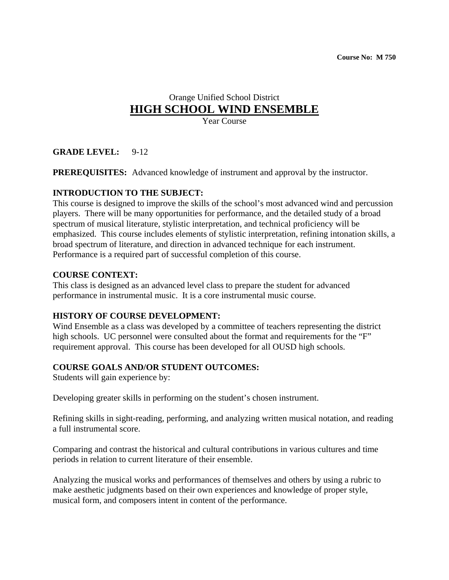# Orange Unified School District **HIGH SCHOOL WIND ENSEMBLE**

Year Course

## **GRADE LEVEL:** 9-12

**PREREQUISITES:** Advanced knowledge of instrument and approval by the instructor.

#### **INTRODUCTION TO THE SUBJECT:**

This course is designed to improve the skills of the school's most advanced wind and percussion players. There will be many opportunities for performance, and the detailed study of a broad spectrum of musical literature, stylistic interpretation, and technical proficiency will be emphasized. This course includes elements of stylistic interpretation, refining intonation skills, a broad spectrum of literature, and direction in advanced technique for each instrument. Performance is a required part of successful completion of this course.

#### **COURSE CONTEXT:**

This class is designed as an advanced level class to prepare the student for advanced performance in instrumental music. It is a core instrumental music course.

#### **HISTORY OF COURSE DEVELOPMENT:**

Wind Ensemble as a class was developed by a committee of teachers representing the district high schools. UC personnel were consulted about the format and requirements for the "F" requirement approval. This course has been developed for all OUSD high schools.

#### **COURSE GOALS AND/OR STUDENT OUTCOMES:**

Students will gain experience by:

Developing greater skills in performing on the student's chosen instrument.

Refining skills in sight-reading, performing, and analyzing written musical notation, and reading a full instrumental score.

Comparing and contrast the historical and cultural contributions in various cultures and time periods in relation to current literature of their ensemble.

Analyzing the musical works and performances of themselves and others by using a rubric to make aesthetic judgments based on their own experiences and knowledge of proper style, musical form, and composers intent in content of the performance.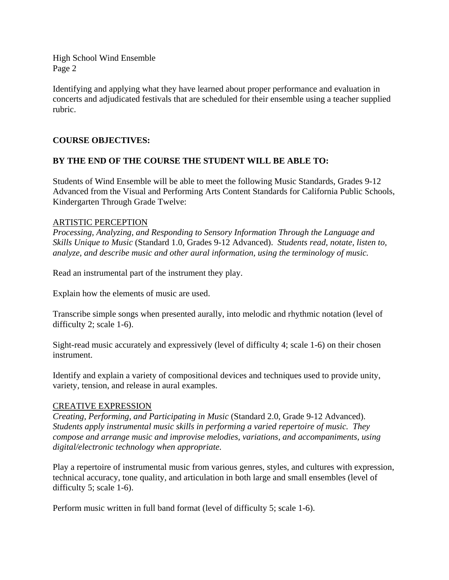Identifying and applying what they have learned about proper performance and evaluation in concerts and adjudicated festivals that are scheduled for their ensemble using a teacher supplied rubric.

## **COURSE OBJECTIVES:**

# **BY THE END OF THE COURSE THE STUDENT WILL BE ABLE TO:**

Students of Wind Ensemble will be able to meet the following Music Standards, Grades 9-12 Advanced from the Visual and Performing Arts Content Standards for California Public Schools, Kindergarten Through Grade Twelve:

#### ARTISTIC PERCEPTION

*Processing, Analyzing, and Responding to Sensory Information Through the Language and Skills Unique to Music* (Standard 1.0, Grades 9-12 Advanced). *Students read, notate, listen to, analyze, and describe music and other aural information, using the terminology of music.* 

Read an instrumental part of the instrument they play.

Explain how the elements of music are used.

Transcribe simple songs when presented aurally, into melodic and rhythmic notation (level of difficulty 2; scale 1-6).

Sight-read music accurately and expressively (level of difficulty 4; scale 1-6) on their chosen instrument.

Identify and explain a variety of compositional devices and techniques used to provide unity, variety, tension, and release in aural examples.

## CREATIVE EXPRESSION

*Creating, Performing, and Participating in Music* (Standard 2.0, Grade 9-12 Advanced). *Students apply instrumental music skills in performing a varied repertoire of music. They compose and arrange music and improvise melodies, variations, and accompaniments, using digital/electronic technology when appropriate.* 

Play a repertoire of instrumental music from various genres, styles, and cultures with expression, technical accuracy, tone quality, and articulation in both large and small ensembles (level of difficulty 5; scale 1-6).

Perform music written in full band format (level of difficulty 5; scale 1-6).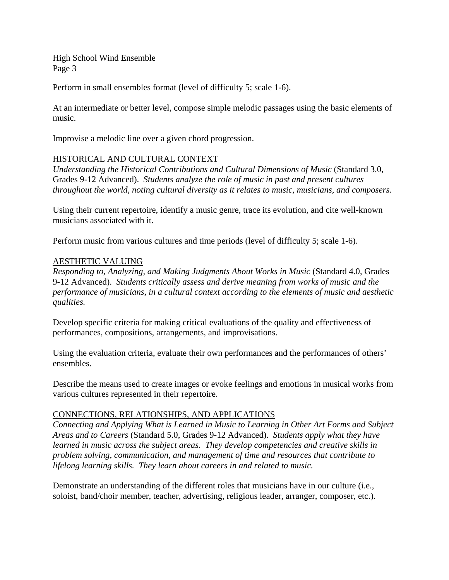Perform in small ensembles format (level of difficulty 5; scale 1-6).

At an intermediate or better level, compose simple melodic passages using the basic elements of music.

Improvise a melodic line over a given chord progression.

#### HISTORICAL AND CULTURAL CONTEXT

*Understanding the Historical Contributions and Cultural Dimensions of Music* (Standard 3.0, Grades 9-12 Advanced). *Students analyze the role of music in past and present cultures throughout the world, noting cultural diversity as it relates to music, musicians, and composers.* 

Using their current repertoire, identify a music genre, trace its evolution, and cite well-known musicians associated with it.

Perform music from various cultures and time periods (level of difficulty 5; scale 1-6).

## AESTHETIC VALUING

*Responding to, Analyzing, and Making Judgments About Works in Music* (Standard 4.0, Grades 9-12 Advanced). *Students critically assess and derive meaning from works of music and the performance of musicians, in a cultural context according to the elements of music and aesthetic qualities.* 

Develop specific criteria for making critical evaluations of the quality and effectiveness of performances, compositions, arrangements, and improvisations.

Using the evaluation criteria, evaluate their own performances and the performances of others' ensembles.

Describe the means used to create images or evoke feelings and emotions in musical works from various cultures represented in their repertoire.

## CONNECTIONS, RELATIONSHIPS, AND APPLICATIONS

*Connecting and Applying What is Learned in Music to Learning in Other Art Forms and Subject Areas and to Careers* (Standard 5.0, Grades 9-12 Advanced). *Students apply what they have learned in music across the subject areas. They develop competencies and creative skills in problem solving, communication, and management of time and resources that contribute to lifelong learning skills. They learn about careers in and related to music.* 

Demonstrate an understanding of the different roles that musicians have in our culture (i.e., soloist, band/choir member, teacher, advertising, religious leader, arranger, composer, etc.).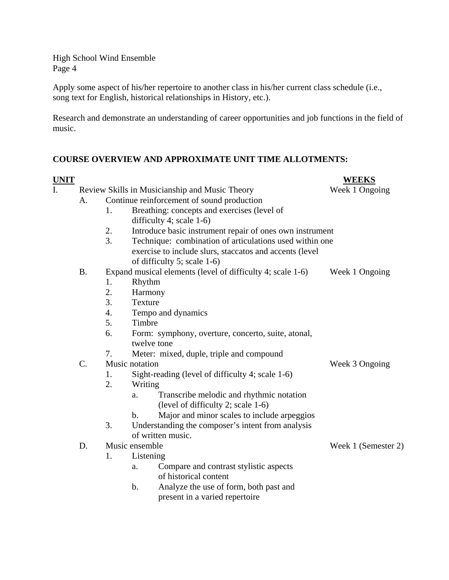Apply some aspect of his/her repertoire to another class in his/her current class schedule (i.e., song text for English, historical relationships in History, etc.).

Research and demonstrate an understanding of career opportunities and job functions in the field of music.

# **COURSE OVERVIEW AND APPROXIMATE UNIT TIME ALLOTMENTS:**

| <u>UNIT</u> |           |                  |                                                              | <b>WEEKS</b>        |
|-------------|-----------|------------------|--------------------------------------------------------------|---------------------|
| I.          |           |                  | Review Skills in Musicianship and Music Theory               | Week 1 Ongoing      |
|             | А.        |                  | Continue reinforcement of sound production                   |                     |
|             |           | 1.               | Breathing: concepts and exercises (level of                  |                     |
|             |           |                  | difficulty 4; scale $1-6$ )                                  |                     |
|             |           | 2.               | Introduce basic instrument repair of ones own instrument     |                     |
|             |           | $\overline{3}$ . | Technique: combination of articulations used within one      |                     |
|             |           |                  | exercise to include slurs, staccatos and accents (level      |                     |
|             |           |                  | of difficulty 5; scale 1-6)                                  |                     |
|             | <b>B.</b> |                  | Expand musical elements (level of difficulty 4; scale 1-6)   | Week 1 Ongoing      |
|             |           | 1.               | Rhythm                                                       |                     |
|             |           | 2.               | Harmony                                                      |                     |
|             |           | 3.               | Texture                                                      |                     |
|             |           | 4.               | Tempo and dynamics                                           |                     |
|             |           | 5.               | Timbre                                                       |                     |
|             |           | 6.               | Form: symphony, overture, concerto, suite, atonal,           |                     |
|             |           |                  | twelve tone                                                  |                     |
|             |           | 7.               | Meter: mixed, duple, triple and compound                     |                     |
|             | $C$ .     |                  | Music notation                                               | Week 3 Ongoing      |
|             |           | 1.               | Sight-reading (level of difficulty 4; scale 1-6)             |                     |
|             |           | 2.               | Writing                                                      |                     |
|             |           |                  | Transcribe melodic and rhythmic notation<br>a.               |                     |
|             |           |                  | (level of difficulty 2; scale 1-6)                           |                     |
|             |           |                  | Major and minor scales to include arpeggios<br>$\mathbf b$ . |                     |
|             |           | 3.               | Understanding the composer's intent from analysis            |                     |
|             |           |                  | of written music.                                            |                     |
|             | D.        |                  | Music ensemble                                               | Week 1 (Semester 2) |
|             |           | 1.               | Listening                                                    |                     |
|             |           |                  | Compare and contrast stylistic aspects<br>a.                 |                     |
|             |           |                  | of historical content                                        |                     |
|             |           |                  | Analyze the use of form, both past and<br>b.                 |                     |
|             |           |                  | present in a varied repertoire                               |                     |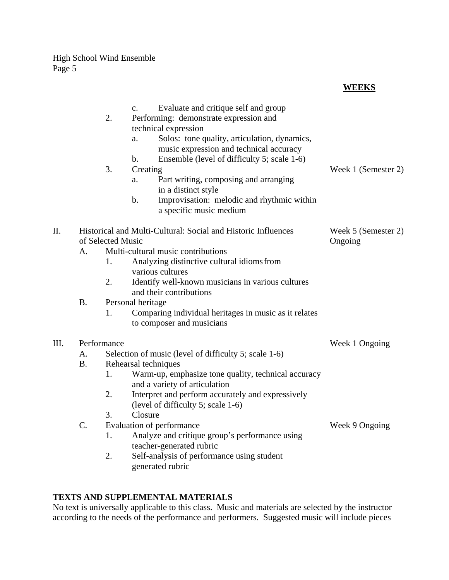# **WEEKS**

|      |           | 2.                                                                                 | Evaluate and critique self and group<br>$\mathbf{c}$ .<br>Performing: demonstrate expression and<br>technical expression<br>Solos: tone quality, articulation, dynamics,<br>a. |                     |
|------|-----------|------------------------------------------------------------------------------------|--------------------------------------------------------------------------------------------------------------------------------------------------------------------------------|---------------------|
|      |           | 3.                                                                                 | music expression and technical accuracy<br>Ensemble (level of difficulty 5; scale 1-6)<br>b.<br>Creating<br>Part writing, composing and arranging<br>a.                        | Week 1 (Semester 2) |
|      |           |                                                                                    | in a distinct style<br>$\mathbf{b}$ .<br>Improvisation: melodic and rhythmic within<br>a specific music medium                                                                 |                     |
| II.  |           | Historical and Multi-Cultural: Social and Historic Influences<br>of Selected Music | Week 5 (Semester 2)<br>Ongoing                                                                                                                                                 |                     |
|      | A.        |                                                                                    | Multi-cultural music contributions                                                                                                                                             |                     |
|      |           | 1.                                                                                 | Analyzing distinctive cultural idioms from<br>various cultures                                                                                                                 |                     |
|      |           | 2.                                                                                 | Identify well-known musicians in various cultures<br>and their contributions                                                                                                   |                     |
|      | <b>B.</b> |                                                                                    | Personal heritage                                                                                                                                                              |                     |
|      |           | 1.                                                                                 | Comparing individual heritages in music as it relates<br>to composer and musicians                                                                                             |                     |
| III. |           | Performance                                                                        | Week 1 Ongoing                                                                                                                                                                 |                     |
|      | А.        |                                                                                    | Selection of music (level of difficulty 5; scale 1-6)                                                                                                                          |                     |
|      | <b>B.</b> |                                                                                    | Rehearsal techniques                                                                                                                                                           |                     |
|      |           | 1.                                                                                 | Warm-up, emphasize tone quality, technical accuracy<br>and a variety of articulation                                                                                           |                     |
|      |           | 2.                                                                                 | Interpret and perform accurately and expressively<br>(level of difficulty 5; scale 1-6)                                                                                        |                     |
|      |           | 3.                                                                                 | Closure                                                                                                                                                                        |                     |
|      | C.        |                                                                                    | Evaluation of performance                                                                                                                                                      | Week 9 Ongoing      |
|      |           | 1.                                                                                 | Analyze and critique group's performance using<br>teacher-generated rubric                                                                                                     |                     |
|      |           | 2.                                                                                 | Self-analysis of performance using student<br>generated rubric                                                                                                                 |                     |

# **TEXTS AND SUPPLEMENTAL MATERIALS**

No text is universally applicable to this class. Music and materials are selected by the instructor according to the needs of the performance and performers. Suggested music will include pieces